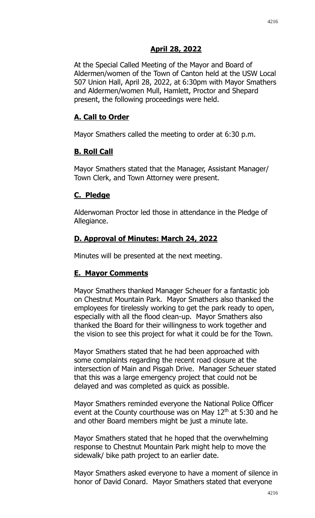#### **April 28, 2022**

At the Special Called Meeting of the Mayor and Board of Aldermen/women of the Town of Canton held at the USW Local 507 Union Hall, April 28, 2022, at 6:30pm with Mayor Smathers and Aldermen/women Mull, Hamlett, Proctor and Shepard present, the following proceedings were held.

#### **A. Call to Order**

Mayor Smathers called the meeting to order at 6:30 p.m.

#### **B. Roll Call**

Mayor Smathers stated that the Manager, Assistant Manager/ Town Clerk, and Town Attorney were present.

#### **C. Pledge**

Alderwoman Proctor led those in attendance in the Pledge of Allegiance.

### **D. Approval of Minutes: March 24, 2022**

Minutes will be presented at the next meeting.

#### **E. Mayor Comments**

Mayor Smathers thanked Manager Scheuer for a fantastic job on Chestnut Mountain Park. Mayor Smathers also thanked the employees for tirelessly working to get the park ready to open, especially with all the flood clean-up. Mayor Smathers also thanked the Board for their willingness to work together and the vision to see this project for what it could be for the Town.

Mayor Smathers stated that he had been approached with some complaints regarding the recent road closure at the intersection of Main and Pisgah Drive. Manager Scheuer stated that this was a large emergency project that could not be delayed and was completed as quick as possible.

Mayor Smathers reminded everyone the National Police Officer event at the County courthouse was on May  $12<sup>th</sup>$  at 5:30 and he and other Board members might be just a minute late.

Mayor Smathers stated that he hoped that the overwhelming response to Chestnut Mountain Park might help to move the sidewalk/ bike path project to an earlier date.

Mayor Smathers asked everyone to have a moment of silence in honor of David Conard. Mayor Smathers stated that everyone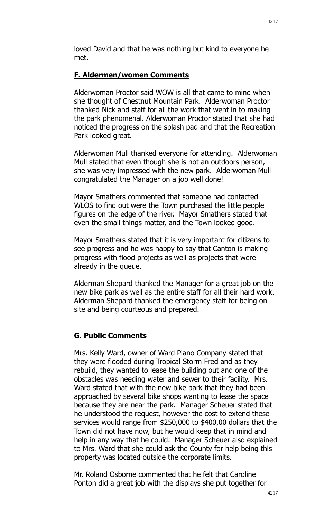loved David and that he was nothing but kind to everyone he met.

### **F. Aldermen/women Comments**

Alderwoman Proctor said WOW is all that came to mind when she thought of Chestnut Mountain Park. Alderwoman Proctor thanked Nick and staff for all the work that went in to making the park phenomenal. Alderwoman Proctor stated that she had noticed the progress on the splash pad and that the Recreation Park looked great.

Alderwoman Mull thanked everyone for attending. Alderwoman Mull stated that even though she is not an outdoors person, she was very impressed with the new park. Alderwoman Mull congratulated the Manager on a job well done!

Mayor Smathers commented that someone had contacted WLOS to find out were the Town purchased the little people figures on the edge of the river. Mayor Smathers stated that even the small things matter, and the Town looked good.

Mayor Smathers stated that it is very important for citizens to see progress and he was happy to say that Canton is making progress with flood projects as well as projects that were already in the queue.

Alderman Shepard thanked the Manager for a great job on the new bike park as well as the entire staff for all their hard work. Alderman Shepard thanked the emergency staff for being on site and being courteous and prepared.

# **G. Public Comments**

Mrs. Kelly Ward, owner of Ward Piano Company stated that they were flooded during Tropical Storm Fred and as they rebuild, they wanted to lease the building out and one of the obstacles was needing water and sewer to their facility. Mrs. Ward stated that with the new bike park that they had been approached by several bike shops wanting to lease the space because they are near the park. Manager Scheuer stated that he understood the request, however the cost to extend these services would range from \$250,000 to \$400,00 dollars that the Town did not have now, but he would keep that in mind and help in any way that he could. Manager Scheuer also explained to Mrs. Ward that she could ask the County for help being this property was located outside the corporate limits.

Mr. Roland Osborne commented that he felt that Caroline Ponton did a great job with the displays she put together for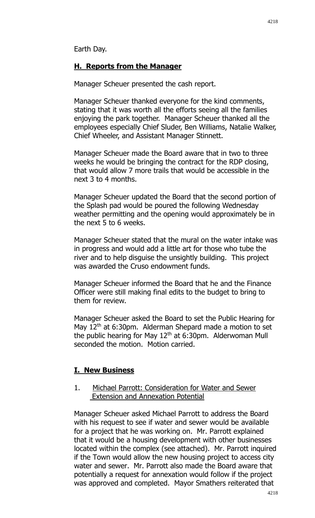### **H. Reports from the Manager**

Manager Scheuer presented the cash report.

Manager Scheuer thanked everyone for the kind comments, stating that it was worth all the efforts seeing all the families enjoying the park together. Manager Scheuer thanked all the employees especially Chief Sluder, Ben Williams, Natalie Walker, Chief Wheeler, and Assistant Manager Stinnett.

Manager Scheuer made the Board aware that in two to three weeks he would be bringing the contract for the RDP closing, that would allow 7 more trails that would be accessible in the next 3 to 4 months.

Manager Scheuer updated the Board that the second portion of the Splash pad would be poured the following Wednesday weather permitting and the opening would approximately be in the next 5 to 6 weeks.

Manager Scheuer stated that the mural on the water intake was in progress and would add a little art for those who tube the river and to help disguise the unsightly building. This project was awarded the Cruso endowment funds.

Manager Scheuer informed the Board that he and the Finance Officer were still making final edits to the budget to bring to them for review.

Manager Scheuer asked the Board to set the Public Hearing for May  $12<sup>th</sup>$  at 6:30pm. Alderman Shepard made a motion to set the public hearing for May  $12<sup>th</sup>$  at 6:30pm. Alderwoman Mull seconded the motion. Motion carried.

#### **I. New Business**

#### 1. Michael Parrott: Consideration for Water and Sewer Extension and Annexation Potential

Manager Scheuer asked Michael Parrott to address the Board with his request to see if water and sewer would be available for a project that he was working on. Mr. Parrott explained that it would be a housing development with other businesses located within the complex (see attached). Mr. Parrott inquired if the Town would allow the new housing project to access city water and sewer. Mr. Parrott also made the Board aware that potentially a request for annexation would follow if the project was approved and completed. Mayor Smathers reiterated that